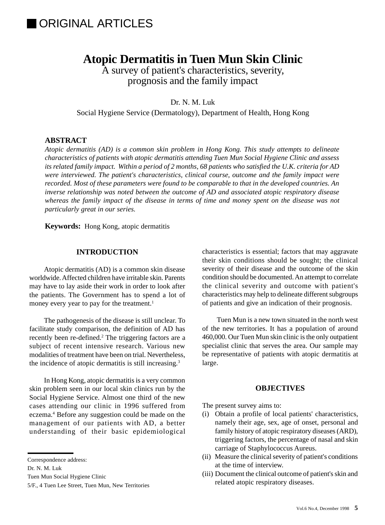# **IORIGINAL ARTICLES**

# **Atopic Dermatitis in Tuen Mun Skin Clinic**

A survey of patient's characteristics, severity, prognosis and the family impact

Dr. N. M. Luk

Social Hygiene Service (Dermatology), Department of Health, Hong Kong

# **ABSTRACT**

*Atopic dermatitis (AD) is a common skin problem in Hong Kong. This study attempts to delineate characteristics of patients with atopic dermatitis attending Tuen Mun Social Hygiene Clinic and assess its related family impact. Within a period of 2 months, 68 patients who satisfied the U.K. criteria for AD were interviewed. The patient's characteristics, clinical course, outcome and the family impact were recorded. Most of these parameters were found to be comparable to that in the developed countries. An inverse relationship was noted between the outcome of AD and associated atopic respiratory disease whereas the family impact of the disease in terms of time and money spent on the disease was not particularly great in our series.*

**Keywords:** Hong Kong, atopic dermatitis

# **INTRODUCTION**

Atopic dermatitis (AD) is a common skin disease worldwide. Affected children have irritable skin. Parents may have to lay aside their work in order to look after the patients. The Government has to spend a lot of money every year to pay for the treatment.<sup>1</sup>

The pathogenesis of the disease is still unclear. To facilitate study comparison, the definition of AD has recently been re-defined.<sup>2</sup> The triggering factors are a subject of recent intensive research. Various new modalities of treatment have been on trial. Nevertheless, the incidence of atopic dermatitis is still increasing.3

In Hong Kong, atopic dermatitis is a very common skin problem seen in our local skin clinics run by the Social Hygiene Service. Almost one third of the new cases attending our clinic in 1996 suffered from eczema.4 Before any suggestion could be made on the management of our patients with AD, a better understanding of their basic epidemiological

Dr. N. M. Luk

characteristics is essential; factors that may aggravate their skin conditions should be sought; the clinical severity of their disease and the outcome of the skin condition should be documented. An attempt to correlate the clinical severity and outcome with patient's characteristics may help to delineate different subgroups of patients and give an indication of their prognosis.

Tuen Mun is a new town situated in the north west of the new territories. It has a population of around 460,000. Our Tuen Mun skin clinic is the only outpatient specialist clinic that serves the area. Our sample may be representative of patients with atopic dermatitis at large.

# **OBJECTIVES**

The present survey aims to:

- (i) Obtain a profile of local patients' characteristics, namely their age, sex, age of onset, personal and family history of atopic respiratory diseases (ARD), triggering factors, the percentage of nasal and skin carriage of Staphylococcus Aureus.
- (ii) Measure the clinical severity of patient's conditions at the time of interview.
- (iii) Document the clinical outcome of patient's skin and related atopic respiratory diseases.

Correspondence address:

Tuen Mun Social Hygiene Clinic

<sup>5/</sup>F., 4 Tuen Lee Street, Tuen Mun, New Territories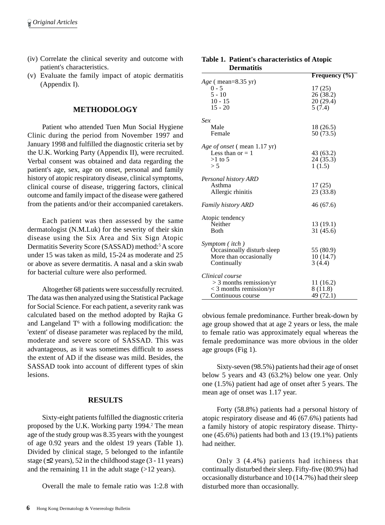- (iv) Correlate the clinical severity and outcome with patient's characteristics.
- (v) Evaluate the family impact of atopic dermatitis (Appendix I).

#### **METHODOLOGY**

Patient who attended Tuen Mun Social Hygiene Clinic during the period from November 1997 and January 1998 and fulfilled the diagnostic criteria set by the U.K. Working Party (Appendix II), were recruited. Verbal consent was obtained and data regarding the patient's age, sex, age on onset, personal and family history of atopic respiratory disease, clinical symptoms, clinical course of disease, triggering factors, clinical outcome and family impact of the disease were gathered from the patients and/or their accompanied caretakers.

Each patient was then assessed by the same dermatologist (N.M.Luk) for the severity of their skin disease using the Six Area and Six Sign Atopic Dermatitis Severity Score (SASSAD) method:<sup>5</sup> A score under 15 was taken as mild, 15-24 as moderate and 25 or above as severe dermatitis. A nasal and a skin swab for bacterial culture were also performed.

Altogether 68 patients were successfully recruited. The data was then analyzed using the Statistical Package for Social Science. For each patient, a severity rank was calculated based on the method adopted by Rajka G and Langeland  $T<sup>6</sup>$  with a following modification: the 'extent' of disease parameter was replaced by the mild, moderate and severe score of SASSAD. This was advantageous, as it was sometimes difficult to assess the extent of AD if the disease was mild. Besides, the SASSAD took into account of different types of skin lesions.

#### **RESULTS**

Sixty-eight patients fulfilled the diagnostic criteria proposed by the U.K. Working party 1994.<sup>2</sup> The mean age of the study group was 8.35 years with the youngest of age 0.92 years and the oldest 19 years (Table 1). Divided by clinical stage, 5 belonged to the infantile stage (≤2 years), 52 in the childhood stage (3 - 11 years) and the remaining 11 in the adult stage  $(>12$  years).

Overall the male to female ratio was 1:2.8 with

 $0 - 5$ <br>  $5 - 10$ <br>  $10 - 15$ <br>  $10 - 15$ <br>  $20 (29.4)$  $10 - 15$ <br> $15 - 20$ <br> $5 (7.4)$ *Sex*

*Age* ( mean=8.35 yr)

**Dermatitis**

| Sex                                                                                            |                                   |
|------------------------------------------------------------------------------------------------|-----------------------------------|
| Male<br>Female                                                                                 | 18 (26.5)<br>50 (73.5)            |
| <i>Age of onset</i> (mean 1.17 yr)<br>Less than or $= 1$<br>$>1$ to 5<br>> 5                   | 43 (63.2)<br>24 (35.3)<br>1(1.5)  |
| Personal history ARD<br>Asthma<br>Allergic rhinitis                                            | 17(25)<br>23 (33.8)               |
| <b>Family history ARD</b>                                                                      | 46 (67.6)                         |
| Atopic tendency<br>Neither<br><b>B</b> oth                                                     | 13 (19.1)<br>31 (45.6)            |
| Symptom (itch)<br>Occasinoally disturb sleep<br>More than occasionally<br>Continually          | 55 (80.9)<br>10(14.7)<br>3(4.4)   |
| Clinical course<br>$>$ 3 months remission/yr<br>$<$ 3 months remission/yr<br>Continuous course | 11 (16.2)<br>8(11.8)<br>49 (72.1) |

**Table 1. Patient's characteristics of Atopic**

**Frequency (%)**

26 (38.2)

 $5(7.4)$ 

obvious female predominance. Further break-down by age group showed that at age 2 years or less, the male to female ratio was approximately equal whereas the female predominance was more obvious in the older age groups (Fig 1).

Sixty-seven (98.5%) patients had their age of onset below 5 years and 43 (63.2%) below one year. Only one (1.5%) patient had age of onset after 5 years. The mean age of onset was 1.17 year.

Forty (58.8%) patients had a personal history of atopic respiratory disease and 46 (67.6%) patients had a family history of atopic respiratory disease. Thirtyone (45.6%) patients had both and 13 (19.1%) patients had neither.

Only 3 (4.4%) patients had itchiness that continually disturbed their sleep. Fifty-five (80.9%) had occasionally disturbance and 10 (14.7%) had their sleep disturbed more than occasionally.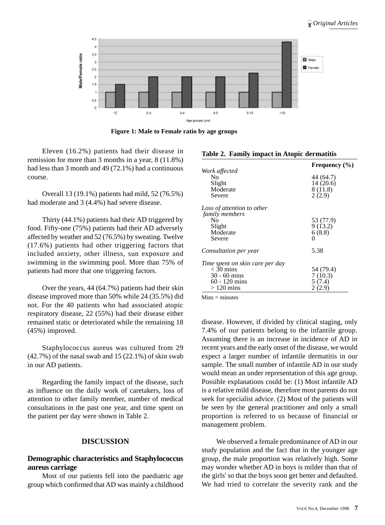

**Figure 1: Male to Female ratio by age groups**

Eleven (16.2%) patients had their disease in remission for more than 3 months in a year, 8 (11.8%) had less than 3 month and 49 (72.1%) had a continuous course.

Overall 13 (19.1%) patients had mild, 52 (76.5%) had moderate and 3 (4.4%) had severe disease.

Thirty (44.1%) patients had their AD triggered by food. Fifty-one (75%) patients had their AD adversely affected by weather and 52 (76.5%) by sweating. Twelve (17.6%) patients had other triggering factors that included anxiety, other illness, sun exposure and swimming in the swimming pool. More than 75% of patients had more that one triggering factors.

Over the years, 44 (64.7%) patients had their skin disease improved more than 50% while 24 (35.5%) did not. For the 40 patients who had associated atopic respiratory disease, 22 (55%) had their disease either remained static or deteriorated while the remaining 18 (45%) improved.

Staphylococcus aureus was cultured from 29  $(42.7\%)$  of the nasal swab and 15  $(22.1\%)$  of skin swab in our AD patients.

Regarding the family impact of the disease, such as influence on the daily work of caretakers, loss of attention to other family member, number of medical consultations in the past one year, and time spent on the patient per day were shown in Table 2.

# **DISCUSSION**

# **Demographic characteristics and Staphylococcus aureus carriage**

Most of our patients fell into the paediatric age group which confirmed that AD was mainly a childhood

|                                 | Frequency $(\% )$ |
|---------------------------------|-------------------|
| Work affected<br>N <sub>0</sub> | 44 (64.7)         |
| Slight                          | 14(20.6)          |
| Moderate                        | 8(11.8)           |
| Severe                          | 2(2.9)            |
| Loss of attention to other      |                   |
| family members                  |                   |
| No                              | 53 (77.9)         |
| Slight                          | 9(13.2)           |
| Moderate                        | 6(8.8)            |
| Severe                          | 0                 |
| <i>Consultation per year</i>    | 5.38              |
| Time spent on skin care per day |                   |
| $<$ 30 mins                     | 54 (79.4)         |
| $30 - 60$ mins                  | 7(10.3)           |
| $60 - 120$ mins                 | 5(7.4)            |
| $>120$ mins                     | 2 (2.9)           |

**Table 2. Family impact in Atopic dermatitis**

 $Mins = minutes$ 

disease. However, if divided by clinical staging, only 7.4% of our patients belong to the infantile group. Assuming there is an increase in incidence of AD in recent years and the early onset of the disease, we would expect a larger number of infantile dermatitis in our sample. The small number of infantile AD in our study would mean an under representation of this age group. Possible explanations could be: (1) Most infantile AD is a relative mild disease, therefore most parents do not seek for specialist advice. (2) Most of the patients will be seen by the general practitioner and only a small proportion is referred to us because of financial or management problem.

We observed a female predominance of AD in our study population and the fact that in the younger age group, the male proportion was relatively high. Some may wonder whether AD in boys is milder than that of the girls' so that the boys soon get better and defaulted. We had tried to correlate the severity rank and the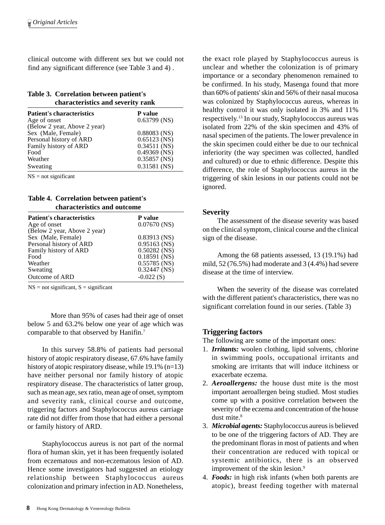clinical outcome with different sex but we could not find any significant difference (see Table 3 and 4) .

#### **Table 3. Correlation between patient's characteristics and severity rank**

| <b>Patient's characteristics</b> | P value        |
|----------------------------------|----------------|
| Age of onset                     | $0.63799$ (NS) |
| (Below 2 year, Above 2 year)     |                |
| Sex (Male, Female)               | $0.88083$ (NS) |
| Personal history of ARD          | $0.65123$ (NS) |
| Family history of ARD            | $0.34511$ (NS) |
| Food                             | $0.49369$ (NS) |
| Weather                          | $0.35857$ (NS) |
| Sweating                         | $0.31581$ (NS) |

 $NS = not significant$ 

#### **Table 4. Correlation between patient's characteristics and outcome**

| <b>Patient's characteristics</b> | <b>P</b> value |
|----------------------------------|----------------|
| Age of onset                     | $0.07670$ (NS) |
| (Below 2 year, Above 2 year)     |                |
| Sex (Male, Female)               | $0.83913$ (NS) |
| Personal history of ARD          | $0.95163$ (NS) |
| Family history of ARD            | $0.50282$ (NS) |
| Food                             | $0.18591$ (NS) |
| Weather                          | $0.55785$ (NS) |
| Sweating                         | $0.32447$ (NS) |
| Outcome of ARD                   | $-0.022(S)$    |

 $NS = not significant, S = significant$ 

More than 95% of cases had their age of onset below 5 and 63.2% below one year of age which was comparable to that observed by Hanifin.7

In this survey 58.8% of patients had personal history of atopic respiratory disease, 67.6% have family history of atopic respiratory disease, while 19.1% (n=13) have neither personal nor family history of atopic respiratory disease. The characteristics of latter group, such as mean age, sex ratio, mean age of onset, symptom and severity rank, clinical course and outcome, triggering factors and Staphylococcus aureus carriage rate did not differ from those that had either a personal or family history of ARD.

Staphylococcus aureus is not part of the normal flora of human skin, yet it has been frequently isolated from eczematous and non-eczematous lesion of AD. Hence some investigators had suggested an etiology relationship between Staphylococcus aureus colonization and primary infection in AD. Nonetheless,

the exact role played by Staphylococcus aureus is unclear and whether the colonization is of primary importance or a secondary phenomenon remained to be confirmed. In his study, Masenga found that more than 60% of patients' skin and 56% of their nasal mucosa was colonized by Staphylococcus aureus, whereas in healthy control it was only isolated in 3% and 11% respectively.13 In our study, Staphylococcus aureus was isolated from 22% of the skin specimen and 43% of nasal specimen of the patients. The lower prevalence in the skin specimen could either be due to our technical inferiority (the way specimen was collected, handled and cultured) or due to ethnic difference. Despite this difference, the role of Staphylococcus aureus in the triggering of skin lesions in our patients could not be ignored.

#### **Severity**

The assessment of the disease severity was based on the clinical symptom, clinical course and the clinical sign of the disease.

Among the 68 patients assessed, 13 (19.1%) had mild, 52 (76.5%) had moderate and 3 (4.4%) had severe disease at the time of interview.

When the severity of the disease was correlated with the different patient's characteristics, there was no significant correlation found in our series. (Table 3)

# **Triggering factors**

The following are some of the important ones:

- 1. *Irritants:* woolen clothing, lipid solvents, chlorine in swimming pools, occupational irritants and smoking are irritants that will induce itchiness or exacerbate eczema.
- 2. *Aeroallergens:* the house dust mite is the most important aeroallergen being studied. Most studies come up with a positive correlation between the severity of the eczema and concentration of the house dust mite $8$
- 3. *Microbial agents:* Staphylococcus aureus is believed to be one of the triggering factors of AD. They are the predominant floras in most of patients and when their concentration are reduced with topical or systemic antibiotics, there is an observed improvement of the skin lesion.<sup>9</sup>
- 4. *Foods:* in high risk infants (when both parents are atopic), breast feeding together with maternal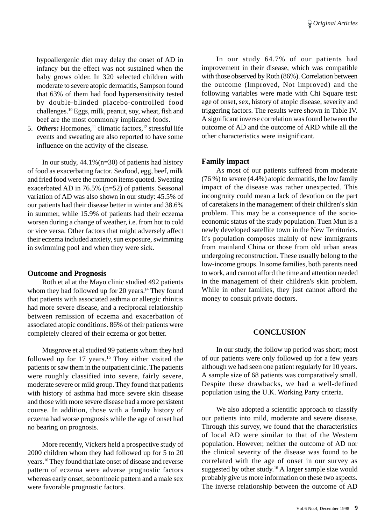hypoallergenic diet may delay the onset of AD in infancy but the effect was not sustained when the baby grows older. In 320 selected children with moderate to severe atopic dermatitis, Sampson found that 63% of them had food hypersensitivity tested by double-blinded placebo-controlled food challenges.10 Eggs, milk, peanut, soy, wheat, fish and beef are the most commonly implicated foods.

5. *Others:* Hormones,<sup>11</sup> climatic factors,<sup>12</sup> stressful life events and sweating are also reported to have some influence on the activity of the disease.

In our study,  $44.1\%$  (n=30) of patients had history of food as exacerbating factor. Seafood, egg, beef, milk and fried food were the common items quoted. Sweating exacerbated AD in 76.5% (n=52) of patients. Seasonal variation of AD was also shown in our study: 45.5% of our patients had their disease better in winter and 38.6% in summer, while 15.9% of patients had their eczema worsen during a change of weather, i.e. from hot to cold or vice versa. Other factors that might adversely affect their eczema included anxiety, sun exposure, swimming in swimming pool and when they were sick.

#### **Outcome and Prognosis**

Roth et al at the Mayo clinic studied 492 patients whom they had followed up for 20 years.<sup>14</sup> They found that patients with associated asthma or allergic rhinitis had more severe disease, and a reciprocal relationship between remission of eczema and exacerbation of associated atopic conditions. 86% of their patients were completely cleared of their eczema or got better.

Musgrove et al studied 99 patients whom they had followed up for  $17$  years.<sup>15</sup> They either visited the patients or saw them in the outpatient clinic. The patients were roughly classified into severe, fairly severe, moderate severe or mild group. They found that patients with history of asthma had more severe skin disease and those with more severe disease had a more persistent course. In addition, those with a family history of eczema had worse prognosis while the age of onset had no bearing on prognosis.

More recently, Vickers held a prospective study of 2000 children whom they had followed up for 5 to 20 years.16 They found that late onset of disease and reverse pattern of eczema were adverse prognostic factors whereas early onset, seborrhoeic pattern and a male sex were favorable prognostic factors.

In our study 64.7% of our patients had improvement in their disease, which was compatible with those observed by Roth (86%). Correlation between the outcome (Improved, Not improved) and the following variables were made with Chi Square test: age of onset, sex, history of atopic disease, severity and triggering factors. The results were shown in Table IV. A significant inverse correlation was found between the outcome of AD and the outcome of ARD while all the other characteristics were insignificant.

# **Family impact**

As most of our patients suffered from moderate (76 %) to severe (4.4%) atopic dermatitis, the low family impact of the disease was rather unexpected. This incongruity could mean a lack of devotion on the part of caretakers in the management of their children's skin problem. This may be a consequence of the socioeconomic status of the study population. Tuen Mun is a newly developed satellite town in the New Territories. It's population composes mainly of new immigrants from mainland China or those from old urban areas undergoing reconstruction. These usually belong to the low-income groups. In some families, both parents need to work, and cannot afford the time and attention needed in the management of their children's skin problem. While in other families, they just cannot afford the money to consult private doctors.

## **CONCLUSION**

In our study, the follow up period was short; most of our patients were only followed up for a few years although we had seen one patient regularly for 10 years. A sample size of 68 patients was comparatively small. Despite these drawbacks, we had a well-defined population using the U.K. Working Party criteria.

We also adopted a scientific approach to classify our patients into mild, moderate and severe disease. Through this survey, we found that the characteristics of local AD were similar to that of the Western population. However, neither the outcome of AD nor the clinical severity of the disease was found to be correlated with the age of onset in our survey as suggested by other study.16 A larger sample size would probably give us more information on these two aspects. The inverse relationship between the outcome of AD